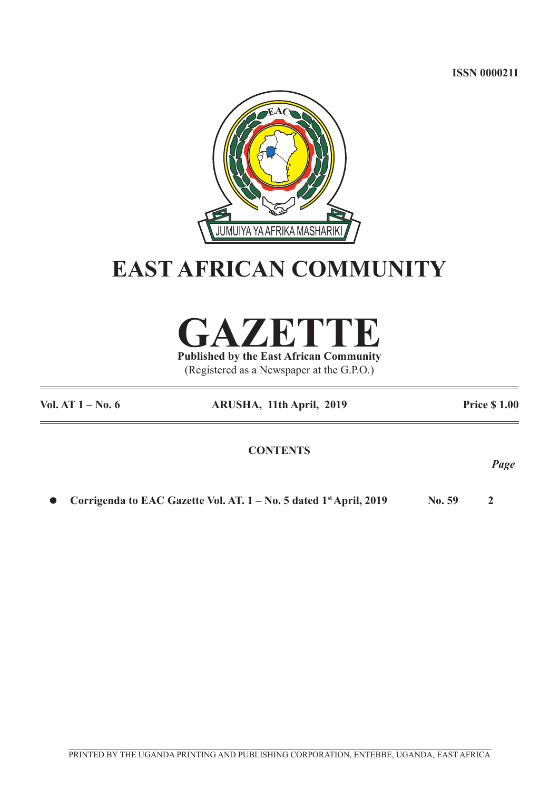**ISSN 0000211**



## **EAST AFRICAN COMMUNITY**

**GAZETTE**

**Published by the East African Community** (Registered as a Newspaper at the G.P.O.)

| Vol. AT $1 - No. 6$ | ARUSHA, 11th April, 2019 | <b>Price \$1.00</b> |
|---------------------|--------------------------|---------------------|
|                     | <b>CONTENTS</b>          |                     |
|                     |                          | Page                |

l **Corrigenda to EAC Gazette Vol. AT. 1 – No. 5 dated 1st April, 2019 No. 59 2**